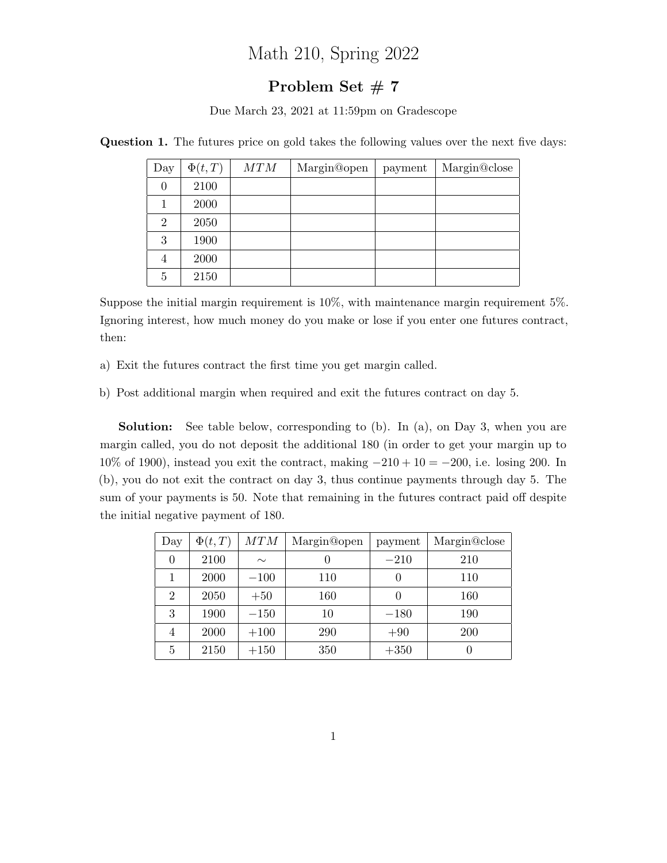## Math 210, Spring 2022

## Problem Set  $# 7$

Due March 23, 2021 at 11:59pm on Gradescope

| Day            | $\Phi(t,T)$ | MTM | Margin@open | payment | Margin@close |
|----------------|-------------|-----|-------------|---------|--------------|
| $\theta$       | 2100        |     |             |         |              |
|                | 2000        |     |             |         |              |
| $\overline{2}$ | 2050        |     |             |         |              |
| 3              | 1900        |     |             |         |              |
| $\overline{4}$ | 2000        |     |             |         |              |
| 5              | 2150        |     |             |         |              |

Question 1. The futures price on gold takes the following values over the next five days:

Suppose the initial margin requirement is  $10\%$ , with maintenance margin requirement 5%. Ignoring interest, how much money do you make or lose if you enter one futures contract, then:

- a) Exit the futures contract the first time you get margin called.
- b) Post additional margin when required and exit the futures contract on day 5.

Solution: See table below, corresponding to (b). In (a), on Day 3, when you are margin called, you do not deposit the additional 180 (in order to get your margin up to  $10\%$  of 1900), instead you exit the contract, making  $-210 + 10 = -200$ , i.e. losing 200. In (b), you do not exit the contract on day 3, thus continue payments through day 5. The sum of your payments is 50. Note that remaining in the futures contract paid off despite the initial negative payment of 180.

| Day            | $\Phi(t,T)$ | MTM    | Margin@open | payment | Margin@close     |
|----------------|-------------|--------|-------------|---------|------------------|
| $\theta$       | 2100        | $\sim$ | 0           | $-210$  | 210              |
|                | 2000        | $-100$ | 110         |         | 110              |
| $\overline{2}$ | 2050        | $+50$  | 160         |         | 160              |
| 3              | 1900        | $-150$ | 10          | $-180$  | 190              |
| 4              | 2000        | $+100$ | 290         | $+90$   | 200              |
| 5              | 2150        | $+150$ | 350         | $+350$  | $\left( \right)$ |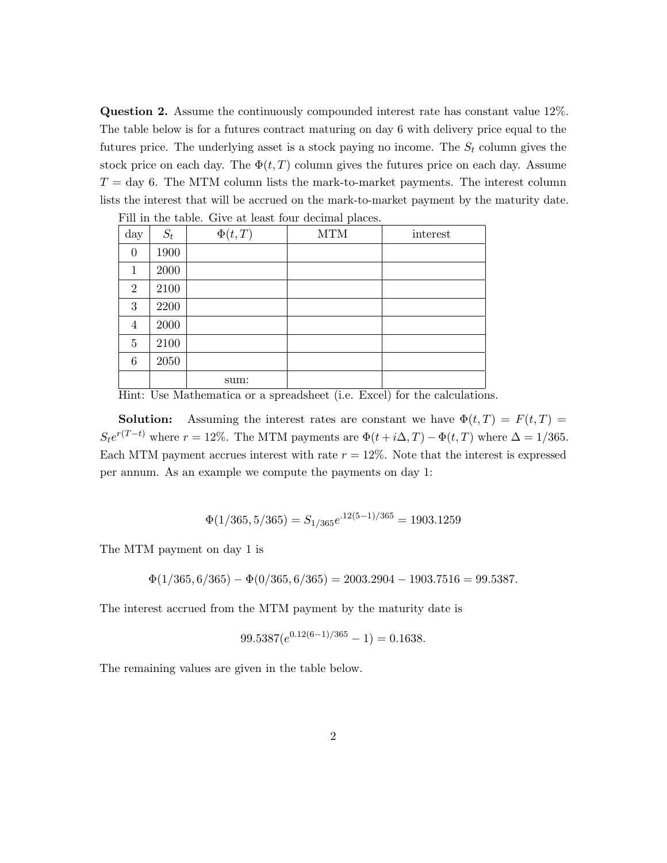Question 2. Assume the continuously compounded interest rate has constant value 12%. The table below is for a futures contract maturing on day 6 with delivery price equal to the futures price. The underlying asset is a stock paying no income. The  $S_t$  column gives the stock price on each day. The  $\Phi(t, T)$  column gives the futures price on each day. Assume  $T = \text{day } 6$ . The MTM column lists the mark-to-market payments. The interest column lists the interest that will be accrued on the mark-to-market payment by the maturity date.

| Fill in the table. Give at least four decimal places. |       |             |            |          |  |
|-------------------------------------------------------|-------|-------------|------------|----------|--|
| day                                                   | $S_t$ | $\Phi(t,T)$ | <b>MTM</b> | interest |  |
| $\overline{0}$                                        | 1900  |             |            |          |  |
| 1                                                     | 2000  |             |            |          |  |
| $\overline{2}$                                        | 2100  |             |            |          |  |
| 3                                                     | 2200  |             |            |          |  |
| 4                                                     | 2000  |             |            |          |  |
| $\overline{5}$                                        | 2100  |             |            |          |  |
| 6                                                     | 2050  |             |            |          |  |
|                                                       |       | sum:        |            |          |  |

Hint: Use Mathematica or a spreadsheet (i.e. Excel) for the calculations.

**Solution:** Assuming the interest rates are constant we have  $\Phi(t,T) = F(t,T)$  $S_t e^{r(T-t)}$  where  $r = 12\%$ . The MTM payments are  $\Phi(t + i\Delta, T) - \Phi(t, T)$  where  $\Delta = 1/365$ . Each MTM payment accrues interest with rate  $r = 12\%$ . Note that the interest is expressed per annum. As an example we compute the payments on day 1:

$$
\Phi(1/365, 5/365) = S_{1/365}e^{.12(5-1)/365} = 1903.1259
$$

The MTM payment on day 1 is

 $\Phi(1/365, 6/365) - \Phi(0/365, 6/365) = 2003.2904 - 1903.7516 = 99.5387.$ 

The interest accrued from the MTM payment by the maturity date is

$$
99.5387(e^{0.12(6-1)/365} - 1) = 0.1638.
$$

The remaining values are given in the table below.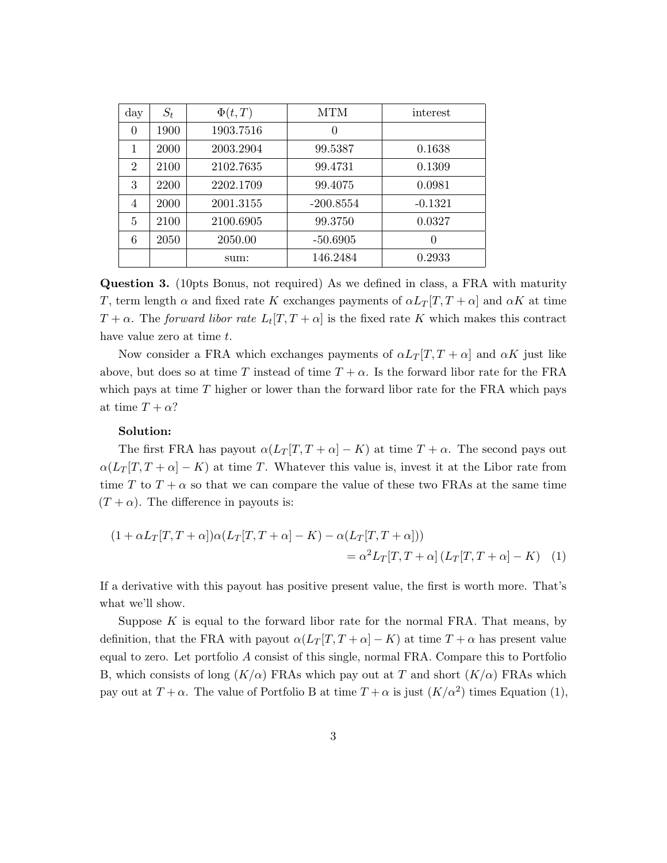| day            | $S_t$ | $\Phi(t,T)$ | MTM         | interest  |
|----------------|-------|-------------|-------------|-----------|
| $\theta$       | 1900  | 1903.7516   | 0           |           |
| 1              | 2000  | 2003.2904   | 99.5387     | 0.1638    |
| $\overline{2}$ | 2100  | 2102.7635   | 99.4731     | 0.1309    |
| 3              | 2200  | 2202.1709   | 99.4075     | 0.0981    |
| 4              | 2000  | 2001.3155   | $-200.8554$ | $-0.1321$ |
| 5              | 2100  | 2100.6905   | 99.3750     | 0.0327    |
| 6              | 2050  | 2050.00     | $-50.6905$  | $\theta$  |
|                |       | sum:        | 146.2484    | 0.2933    |

Question 3. (10pts Bonus, not required) As we defined in class, a FRA with maturity T, term length  $\alpha$  and fixed rate K exchanges payments of  $\alpha L_T[T, T + \alpha]$  and  $\alpha K$  at time  $T + \alpha$ . The forward libor rate  $L_t[T, T + \alpha]$  is the fixed rate K which makes this contract have value zero at time t.

Now consider a FRA which exchanges payments of  $\alpha L_T[T, T + \alpha]$  and  $\alpha K$  just like above, but does so at time T instead of time  $T + \alpha$ . Is the forward libor rate for the FRA which pays at time  $T$  higher or lower than the forward libor rate for the FRA which pays at time  $T + \alpha$ ?

## Solution:

The first FRA has payout  $\alpha(L_T | T, T + \alpha | - K)$  at time  $T + \alpha$ . The second pays out  $\alpha(L_T |T, T + \alpha| - K)$  at time T. Whatever this value is, invest it at the Libor rate from time T to  $T + \alpha$  so that we can compare the value of these two FRAs at the same time  $(T + \alpha)$ . The difference in payouts is:

$$
(1 + \alpha L_T[T, T + \alpha])\alpha (L_T[T, T + \alpha] - K) - \alpha (L_T[T, T + \alpha]))
$$
  
=  $\alpha^2 L_T[T, T + \alpha] (L_T[T, T + \alpha] - K)$  (1)

If a derivative with this payout has positive present value, the first is worth more. That's what we'll show.

Suppose  $K$  is equal to the forward libor rate for the normal FRA. That means, by definition, that the FRA with payout  $\alpha(L_T|T, T+\alpha|-K)$  at time  $T+\alpha$  has present value equal to zero. Let portfolio A consist of this single, normal FRA. Compare this to Portfolio B, which consists of long  $(K/\alpha)$  FRAs which pay out at T and short  $(K/\alpha)$  FRAs which pay out at  $T + \alpha$ . The value of Portfolio B at time  $T + \alpha$  is just  $(K/\alpha^2)$  times Equation (1),